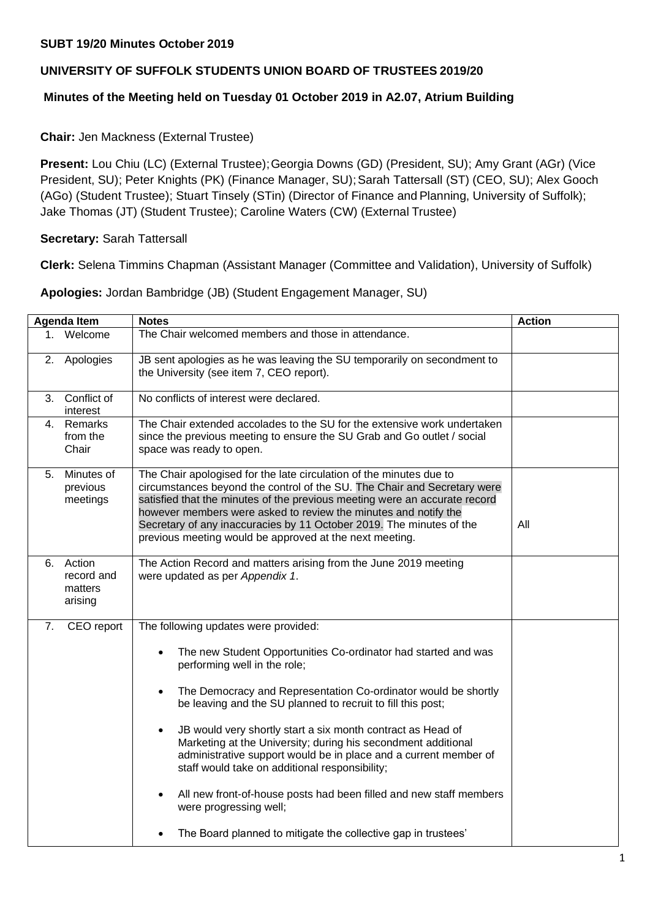## **SUBT 19/20 Minutes October 2019**

# **UNIVERSITY OF SUFFOLK STUDENTS UNION BOARD OF TRUSTEES 2019/20**

### **Minutes of the Meeting held on Tuesday 01 October 2019 in A2.07, Atrium Building**

### **Chair:** Jen Mackness (External Trustee)

**Present:** Lou Chiu (LC) (External Trustee); Georgia Downs (GD) (President, SU); Amy Grant (AGr) (Vice President, SU); Peter Knights (PK) (Finance Manager, SU); Sarah Tattersall (ST) (CEO, SU); Alex Gooch (AGo) (Student Trustee); Stuart Tinsely (STin) (Director of Finance and Planning, University of Suffolk); Jake Thomas (JT) (Student Trustee); Caroline Waters (CW) (External Trustee)

#### **Secretary:** Sarah Tattersall

**Clerk:** Selena Timmins Chapman (Assistant Manager (Committee and Validation), University of Suffolk)

**Apologies:** Jordan Bambridge (JB) (Student Engagement Manager, SU)

| <b>Agenda Item</b> |                                            | <b>Notes</b>                                                                                                                                                                                                                                                                                                                                                                                                                                                                                                                                                                                                                                                                                                | <b>Action</b> |
|--------------------|--------------------------------------------|-------------------------------------------------------------------------------------------------------------------------------------------------------------------------------------------------------------------------------------------------------------------------------------------------------------------------------------------------------------------------------------------------------------------------------------------------------------------------------------------------------------------------------------------------------------------------------------------------------------------------------------------------------------------------------------------------------------|---------------|
|                    | Welcome                                    | The Chair welcomed members and those in attendance.                                                                                                                                                                                                                                                                                                                                                                                                                                                                                                                                                                                                                                                         |               |
| 2.                 | Apologies                                  | JB sent apologies as he was leaving the SU temporarily on secondment to<br>the University (see item 7, CEO report).                                                                                                                                                                                                                                                                                                                                                                                                                                                                                                                                                                                         |               |
| 3.                 | Conflict of<br>interest                    | No conflicts of interest were declared.                                                                                                                                                                                                                                                                                                                                                                                                                                                                                                                                                                                                                                                                     |               |
|                    | 4. Remarks<br>from the<br>Chair            | The Chair extended accolades to the SU for the extensive work undertaken<br>since the previous meeting to ensure the SU Grab and Go outlet / social<br>space was ready to open.                                                                                                                                                                                                                                                                                                                                                                                                                                                                                                                             |               |
| 5.                 | Minutes of<br>previous<br>meetings         | The Chair apologised for the late circulation of the minutes due to<br>circumstances beyond the control of the SU. The Chair and Secretary were<br>satisfied that the minutes of the previous meeting were an accurate record<br>however members were asked to review the minutes and notify the<br>Secretary of any inaccuracies by 11 October 2019. The minutes of the<br>previous meeting would be approved at the next meeting.                                                                                                                                                                                                                                                                         | All           |
| 6.                 | Action<br>record and<br>matters<br>arising | The Action Record and matters arising from the June 2019 meeting<br>were updated as per Appendix 1.                                                                                                                                                                                                                                                                                                                                                                                                                                                                                                                                                                                                         |               |
| 7.                 | CEO report                                 | The following updates were provided:<br>The new Student Opportunities Co-ordinator had started and was<br>performing well in the role;<br>The Democracy and Representation Co-ordinator would be shortly<br>be leaving and the SU planned to recruit to fill this post;<br>JB would very shortly start a six month contract as Head of<br>$\bullet$<br>Marketing at the University; during his secondment additional<br>administrative support would be in place and a current member of<br>staff would take on additional responsibility;<br>All new front-of-house posts had been filled and new staff members<br>were progressing well;<br>The Board planned to mitigate the collective gap in trustees' |               |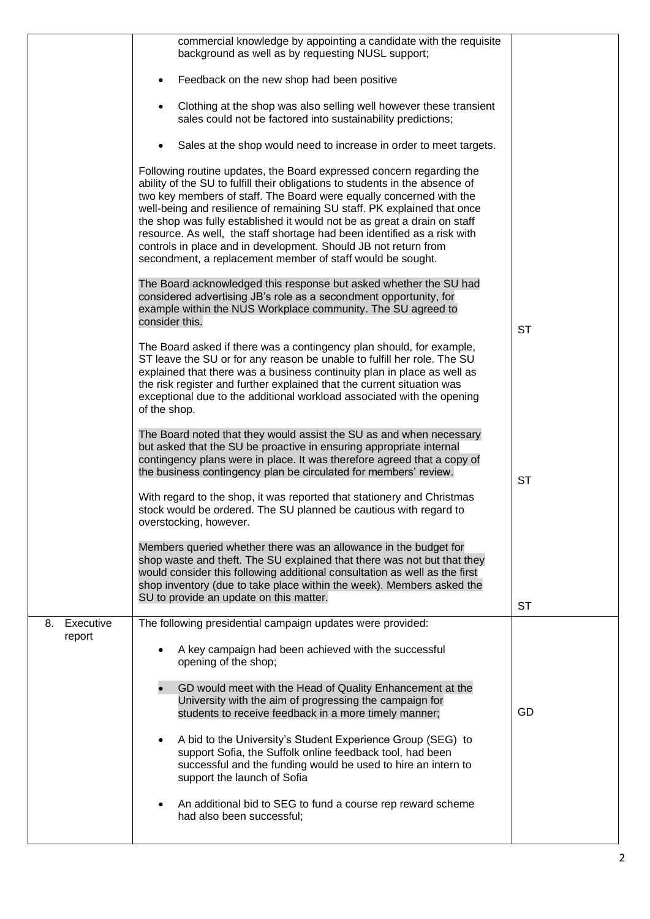|                 | commercial knowledge by appointing a candidate with the requisite<br>background as well as by requesting NUSL support;                                                                                                                                                                                                                                                                                                                                                                                                                                                                          |           |
|-----------------|-------------------------------------------------------------------------------------------------------------------------------------------------------------------------------------------------------------------------------------------------------------------------------------------------------------------------------------------------------------------------------------------------------------------------------------------------------------------------------------------------------------------------------------------------------------------------------------------------|-----------|
|                 | Feedback on the new shop had been positive                                                                                                                                                                                                                                                                                                                                                                                                                                                                                                                                                      |           |
|                 | Clothing at the shop was also selling well however these transient<br>sales could not be factored into sustainability predictions;                                                                                                                                                                                                                                                                                                                                                                                                                                                              |           |
|                 | Sales at the shop would need to increase in order to meet targets.                                                                                                                                                                                                                                                                                                                                                                                                                                                                                                                              |           |
|                 | Following routine updates, the Board expressed concern regarding the<br>ability of the SU to fulfill their obligations to students in the absence of<br>two key members of staff. The Board were equally concerned with the<br>well-being and resilience of remaining SU staff. PK explained that once<br>the shop was fully established it would not be as great a drain on staff<br>resource. As well, the staff shortage had been identified as a risk with<br>controls in place and in development. Should JB not return from<br>secondment, a replacement member of staff would be sought. |           |
|                 | The Board acknowledged this response but asked whether the SU had<br>considered advertising JB's role as a secondment opportunity, for<br>example within the NUS Workplace community. The SU agreed to<br>consider this.                                                                                                                                                                                                                                                                                                                                                                        | <b>ST</b> |
|                 | The Board asked if there was a contingency plan should, for example,<br>ST leave the SU or for any reason be unable to fulfill her role. The SU<br>explained that there was a business continuity plan in place as well as<br>the risk register and further explained that the current situation was<br>exceptional due to the additional workload associated with the opening<br>of the shop.                                                                                                                                                                                                  |           |
|                 | The Board noted that they would assist the SU as and when necessary<br>but asked that the SU be proactive in ensuring appropriate internal<br>contingency plans were in place. It was therefore agreed that a copy of<br>the business contingency plan be circulated for members' review.                                                                                                                                                                                                                                                                                                       | <b>ST</b> |
|                 | With regard to the shop, it was reported that stationery and Christmas<br>stock would be ordered. The SU planned be cautious with regard to<br>overstocking, however.                                                                                                                                                                                                                                                                                                                                                                                                                           |           |
|                 | Members queried whether there was an allowance in the budget for<br>shop waste and theft. The SU explained that there was not but that they<br>would consider this following additional consultation as well as the first<br>shop inventory (due to take place within the week). Members asked the<br>SU to provide an update on this matter.                                                                                                                                                                                                                                                   |           |
| Executive<br>8. | The following presidential campaign updates were provided:                                                                                                                                                                                                                                                                                                                                                                                                                                                                                                                                      | <b>ST</b> |
| report          | A key campaign had been achieved with the successful<br>opening of the shop;                                                                                                                                                                                                                                                                                                                                                                                                                                                                                                                    |           |
|                 | GD would meet with the Head of Quality Enhancement at the<br>University with the aim of progressing the campaign for<br>students to receive feedback in a more timely manner;                                                                                                                                                                                                                                                                                                                                                                                                                   | GD        |
|                 | A bid to the University's Student Experience Group (SEG) to<br>support Sofia, the Suffolk online feedback tool, had been<br>successful and the funding would be used to hire an intern to<br>support the launch of Sofia                                                                                                                                                                                                                                                                                                                                                                        |           |
|                 | An additional bid to SEG to fund a course rep reward scheme<br>had also been successful;                                                                                                                                                                                                                                                                                                                                                                                                                                                                                                        |           |
|                 |                                                                                                                                                                                                                                                                                                                                                                                                                                                                                                                                                                                                 |           |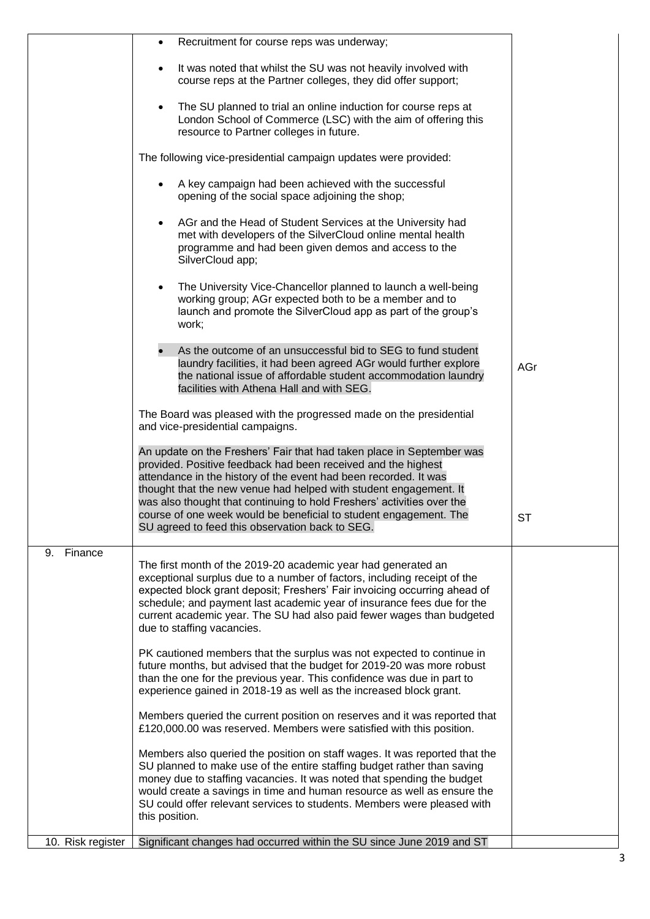|                   | Recruitment for course reps was underway;<br>$\bullet$                                                                                                                                                                                                                                                                                                                                                  |     |
|-------------------|---------------------------------------------------------------------------------------------------------------------------------------------------------------------------------------------------------------------------------------------------------------------------------------------------------------------------------------------------------------------------------------------------------|-----|
|                   | It was noted that whilst the SU was not heavily involved with<br>$\bullet$<br>course reps at the Partner colleges, they did offer support;                                                                                                                                                                                                                                                              |     |
|                   | The SU planned to trial an online induction for course reps at<br>London School of Commerce (LSC) with the aim of offering this<br>resource to Partner colleges in future.                                                                                                                                                                                                                              |     |
|                   | The following vice-presidential campaign updates were provided:                                                                                                                                                                                                                                                                                                                                         |     |
|                   | A key campaign had been achieved with the successful<br>opening of the social space adjoining the shop;                                                                                                                                                                                                                                                                                                 |     |
|                   | AGr and the Head of Student Services at the University had<br>met with developers of the SilverCloud online mental health<br>programme and had been given demos and access to the<br>SilverCloud app;                                                                                                                                                                                                   |     |
|                   | The University Vice-Chancellor planned to launch a well-being<br>working group; AGr expected both to be a member and to<br>launch and promote the SilverCloud app as part of the group's<br>work;                                                                                                                                                                                                       |     |
|                   | As the outcome of an unsuccessful bid to SEG to fund student<br>laundry facilities, it had been agreed AGr would further explore<br>the national issue of affordable student accommodation laundry<br>facilities with Athena Hall and with SEG.                                                                                                                                                         | AGr |
|                   | The Board was pleased with the progressed made on the presidential<br>and vice-presidential campaigns.                                                                                                                                                                                                                                                                                                  |     |
|                   | An update on the Freshers' Fair that had taken place in September was<br>provided. Positive feedback had been received and the highest<br>attendance in the history of the event had been recorded. It was<br>thought that the new venue had helped with student engagement. It<br>was also thought that continuing to hold Freshers' activities over the                                               |     |
|                   | course of one week would be beneficial to student engagement. The<br>SU agreed to feed this observation back to SEG.                                                                                                                                                                                                                                                                                    | ST  |
| Finance<br>9.     | The first month of the 2019-20 academic year had generated an<br>exceptional surplus due to a number of factors, including receipt of the<br>expected block grant deposit; Freshers' Fair invoicing occurring ahead of<br>schedule; and payment last academic year of insurance fees due for the<br>current academic year. The SU had also paid fewer wages than budgeted<br>due to staffing vacancies. |     |
|                   | PK cautioned members that the surplus was not expected to continue in<br>future months, but advised that the budget for 2019-20 was more robust<br>than the one for the previous year. This confidence was due in part to<br>experience gained in 2018-19 as well as the increased block grant.                                                                                                         |     |
|                   | Members queried the current position on reserves and it was reported that<br>£120,000.00 was reserved. Members were satisfied with this position.                                                                                                                                                                                                                                                       |     |
|                   | Members also queried the position on staff wages. It was reported that the<br>SU planned to make use of the entire staffing budget rather than saving<br>money due to staffing vacancies. It was noted that spending the budget<br>would create a savings in time and human resource as well as ensure the<br>SU could offer relevant services to students. Members were pleased with<br>this position. |     |
| 10. Risk register | Significant changes had occurred within the SU since June 2019 and ST                                                                                                                                                                                                                                                                                                                                   |     |
|                   |                                                                                                                                                                                                                                                                                                                                                                                                         |     |